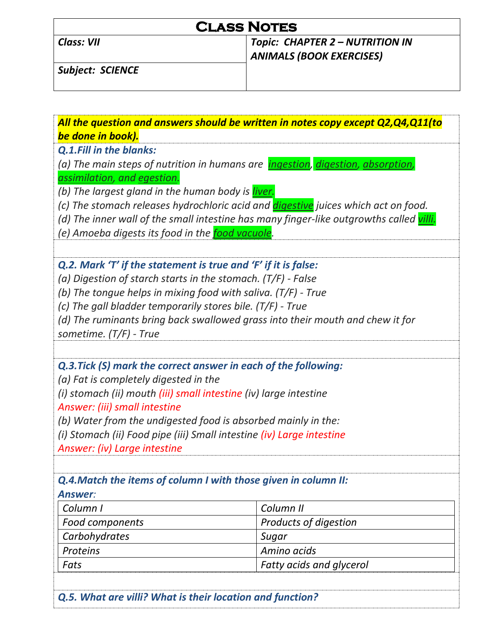# **Class Notes**

### *Class: VII Topic: CHAPTER 2 – NUTRITION IN ANIMALS (BOOK EXERCISES)*

*Subject: SCIENCE* 

*All the question and answers should be written in notes copy except Q2,Q4,Q11(to be done in book). Q.1.Fill in the blanks: (a) The main steps of nutrition in humans are ingestion, digestion, absorption, assimilation, and egestion. (b) The largest gland in the human body is liver. (c) The stomach releases hydrochloric acid and digestive juices which act on food. (d) The inner wall of the small intestine has many finger-like outgrowths called villi. (e) Amoeba digests its food in the food vacuole. Q.2. Mark 'T' if the statement is true and 'F' if it is false: (a) Digestion of starch starts in the stomach. (T/F) - False (b) The tongue helps in mixing food with saliva. (T/F) - True (c) The gall bladder temporarily stores bile. (T/F) - True (d) The ruminants bring back swallowed grass into their mouth and chew it for sometime. (T/F) - True Q.3.Tick (S) mark the correct answer in each of the following: (a) Fat is completely digested in the (i) stomach (ii) mouth (iii) small intestine (iv) large intestine Answer: (iii) small intestine (b) Water from the undigested food is absorbed mainly in the: (i) Stomach (ii) Food pipe (iii) Small intestine (iv) Large intestine Answer: (iv) Large intestine Q.4.Match the items of column I with those given in column II: Answer: Column I Column II*  Food components **Products of digestion Carbohydrates** Sugar **Sugar** Sugar **Proteins Amino acids** Amino acids *Fats Fatty acids and glycerol* 

*Q.5. What are villi? What is their location and function?*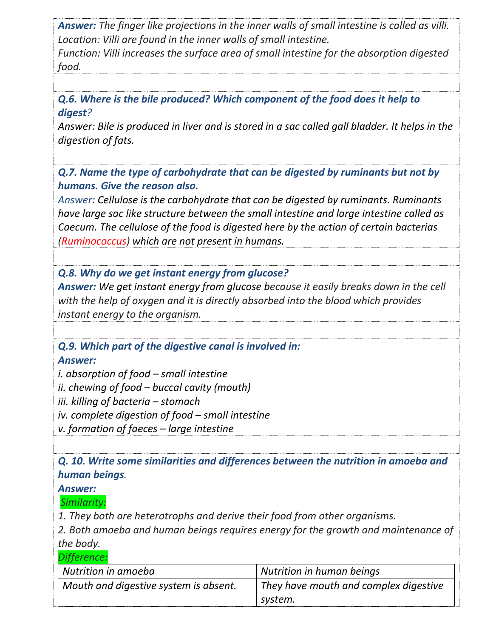*Answer: The finger like projections in the inner walls of small intestine is called as villi. Location: Villi are found in the inner walls of small intestine.* 

*Function: Villi increases the surface area of small intestine for the absorption digested food.*

*Q.6. Where is the bile produced? Which component of the food does it help to digest?* 

*Answer: Bile is produced in liver and is stored in a sac called gall bladder. It helps in the digestion of fats.* 

*Q.7. Name the type of carbohydrate that can be digested by ruminants but not by humans. Give the reason also.* 

*Answer: Cellulose is the carbohydrate that can be digested by ruminants. Ruminants have large sac like structure between the small intestine and large intestine called as Caecum. The cellulose of the food is digested here by the action of certain bacterias (Ruminococcus) which are not present in humans.* 

*Q.8. Why do we get instant energy from glucose?*

*Answer: We get instant energy from glucose because it easily breaks down in the cell with the help of oxygen and it is directly absorbed into the blood which provides instant energy to the organism.* 

*Q.9. Which part of the digestive canal is involved in:* 

*Answer:*

*i. absorption of food – small intestine ii. chewing of food – buccal cavity (mouth) iii. killing of bacteria – stomach iv. complete digestion of food – small intestine v. formation of faeces – large intestine* 

*Q. 10. Write some similarities and differences between the nutrition in amoeba and human beings.* 

*Answer:* 

 *Similarity:* 

*1. They both are heterotrophs and derive their food from other organisms.* 

*2. Both amoeba and human beings requires energy for the growth and maintenance of the body.* 

| Difference:                        |  |
|------------------------------------|--|
| $\blacksquare$ Nutrition in amoeha |  |

| Nutrition in amoeba                   | Nutrition in human beings             |  |
|---------------------------------------|---------------------------------------|--|
| Mouth and digestive system is absent. | They have mouth and complex digestive |  |
|                                       | system.                               |  |